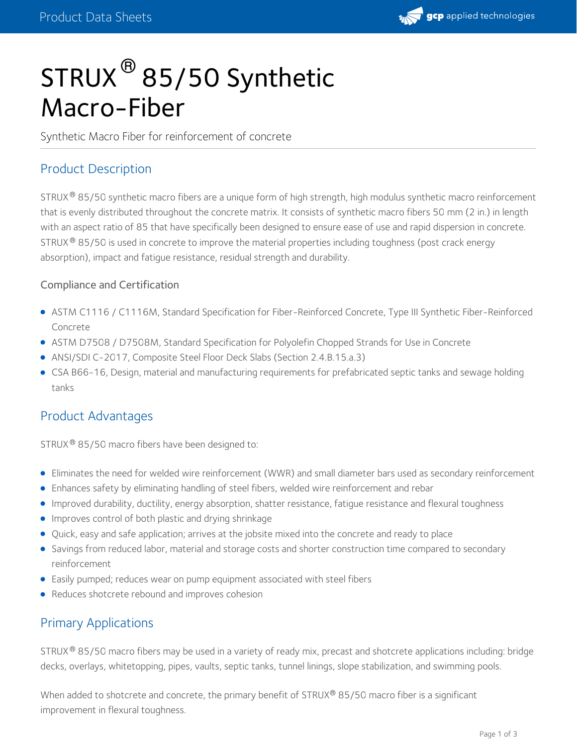

# $\mathsf{STRUX}^{\circledR}\mathsf{85/50}$  Synthetic Macro-Fiber

Synthetic Macro Fiber for reinforcement of concrete

## Product Description

STRUX  $^\circ$  85/50 synthetic macro fibers are a unique form of high strength, high modulus synthetic macro reinforcement that is evenly distributed throughout the concrete matrix. It consists of synthetic macro fibers 50 mm (2 in.) in length with an aspect ratio of 85 that have specifically been designed to ensure ease of use and rapid dispersion in concrete. STRUX  $^\circledR$  85/50 is used in concrete to improve the material properties including toughness (post crack energy absorption), impact and fatigue resistance, residual strength and durability.

#### Compliance and Certification

- ASTM C1116 /C1116M, Standard Specification for Fiber-Reinforced Concrete, Type III Synthetic Fiber-Reinforced Concrete
- ASTM D7508 / D7508M, Standard Specification for Polyolefin Chopped Strands for Use in Concrete
- ANSI/SDI C-2017, Composite Steel Floor Deck Slabs (Section 2.4.B.15.a.3)
- CSA B66-16, Design, material and manufacturing requirements for prefabricated septic tanks and sewage holding tanks

#### Product Advantages

 $\textsf{STRUX}\textcircledast\textcircledast$  35/50 macro fibers have been designed to:

- Eliminates the need for welded wire reinforcement (WWR) and small diameter bars used as secondary reinforcement
- Enhances safety by eliminating handling of steel fibers, welded wire reinforcement and rebar
- Improved durability, ductility, energy absorption, shatter resistance, fatigue resistance and flexural toughness
- **Improves control of both plastic and drying shrinkage**
- Quick, easy and safe application; arrives at the jobsite mixed into the concrete and ready to place
- Savings from reduced labor, material and storage costs and shorter construction time compared to secondary reinforcement
- Easily pumped; reduces wear on pump equipment associated with steel fibers
- Reduces shotcrete rebound and improves cohesion

#### Primary Applications

STRUX  $^\circ$  85/50 macro fibers may be used in a variety of ready mix, precast and shotcrete applications including: bridge decks, overlays, whitetopping, pipes, vaults, septic tanks, tunnel linings, slope stabilization, and swimming pools.

When added to shotcrete and concrete, the primary benefit of STRUX® 85/50 macro fiber is a significant improvement in flexural toughness.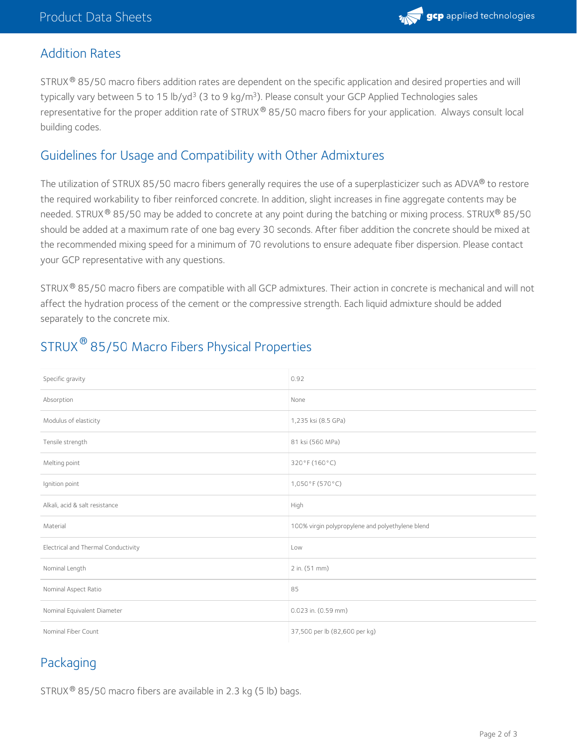

#### Addition Rates

STRUX $^{\circledR}$  85/50 macro fibers addition rates are dependent on the specific application and desired properties and will typically vary between 5 to 15 lb/yd<sup>3</sup> (3 to 9 kg/m<sup>3</sup>). Please consult your GCP Applied Technologies sales representative for the proper addition rate of STRUX $^\circ$  85/50 macro fibers for your application. Always consult local building codes.

#### Guidelines for Usage and Compatibility with Other Admixtures

The utilization of STRUX 85/50 macro fibers generally requires the use of a superplasticizer such as ADVA $^\circledR$  to restore the required workability to fiber reinforced concrete. In addition, slight increases in fine aggregate contents may be needed. STRUX® 85/50 may be added to concrete at any point during the batching or mixing process. STRUX® 85/50 should be added at a maximum rate of one bag every 30 seconds. After fiber addition the concrete should be mixed at the recommended mixing speed for a minimum of 70 revolutions to ensure adequate fiber dispersion. Please contact your GCP representative with any questions.

STRUX $^\circ$  85/50 macro fibers are compatible with all GCP admixtures. Their action in concrete is mechanical and will not affect the hydration process of the cement or the compressive strength. Each liquid admixture should be added separately to the concrete mix.

| Specific gravity                    | 0.92                                             |
|-------------------------------------|--------------------------------------------------|
| Absorption                          | None                                             |
| Modulus of elasticity               | 1,235 ksi (8.5 GPa)                              |
| Tensile strength                    | 81 ksi (560 MPa)                                 |
| Melting point                       | 320°F (160°C)                                    |
| Ignition point                      | 1,050°F (570°C)                                  |
| Alkali, acid & salt resistance      | High                                             |
| Material                            | 100% virgin polypropylene and polyethylene blend |
| Electrical and Thermal Conductivity | Low                                              |
| Nominal Length                      | 2 in. (51 mm)                                    |
| Nominal Aspect Ratio                | 85                                               |
| Nominal Equivalent Diameter         | 0.023 in. (0.59 mm)                              |
| Nominal Fiber Count                 | 37,500 per lb (82,600 per kg)                    |

# STRUX  $^\circledR$  85/50 Macro Fibers Physical Properties

## Packaging

STRUX  $^{\circledR}$  85/50 macro fibers are available in 2.3 kg (5 lb) bags.